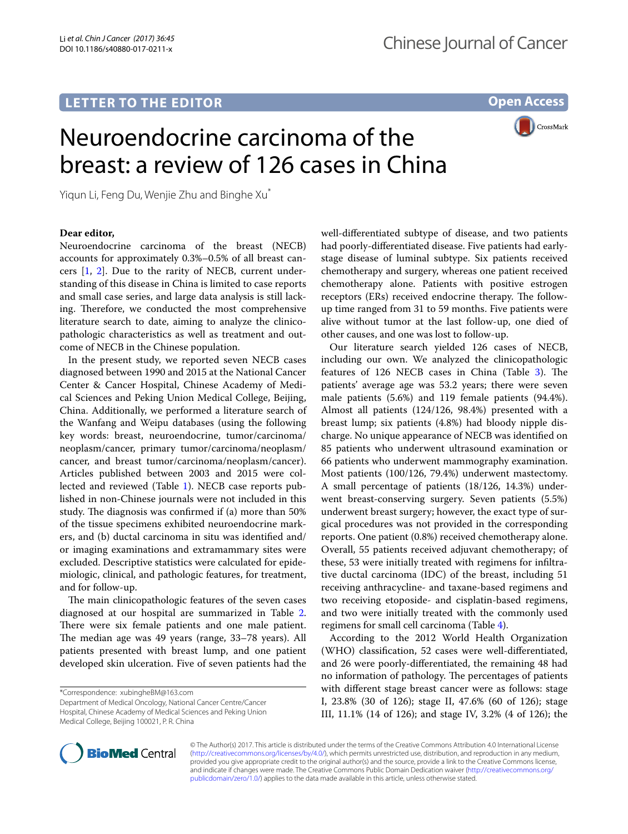## **LETTER TO THE EDITOR**

**Open Access**

CrossMark

# Neuroendocrine carcinoma of the breast: a review of 126 cases in China

Yiqun Li, Feng Du, Wenjie Zhu and Binghe Xu\*

### **Dear editor,**

Neuroendocrine carcinoma of the breast (NECB) accounts for approximately 0.3%–0.5% of all breast cancers [\[1](#page-3-0), [2\]](#page-3-1). Due to the rarity of NECB, current understanding of this disease in China is limited to case reports and small case series, and large data analysis is still lacking. Therefore, we conducted the most comprehensive literature search to date, aiming to analyze the clinicopathologic characteristics as well as treatment and outcome of NECB in the Chinese population.

In the present study, we reported seven NECB cases diagnosed between 1990 and 2015 at the National Cancer Center & Cancer Hospital, Chinese Academy of Medical Sciences and Peking Union Medical College, Beijing, China. Additionally, we performed a literature search of the Wanfang and Weipu databases (using the following key words: breast, neuroendocrine, tumor/carcinoma/ neoplasm/cancer, primary tumor/carcinoma/neoplasm/ cancer, and breast tumor/carcinoma/neoplasm/cancer). Articles published between 2003 and 2015 were collected and reviewed (Table [1](#page-1-0)). NECB case reports published in non-Chinese journals were not included in this study. The diagnosis was confirmed if (a) more than 50% of the tissue specimens exhibited neuroendocrine markers, and (b) ductal carcinoma in situ was identifed and/ or imaging examinations and extramammary sites were excluded. Descriptive statistics were calculated for epidemiologic, clinical, and pathologic features, for treatment, and for follow-up.

The main clinicopathologic features of the seven cases diagnosed at our hospital are summarized in Table [2](#page-1-1). There were six female patients and one male patient. The median age was 49 years (range, 33-78 years). All patients presented with breast lump, and one patient developed skin ulceration. Five of seven patients had the

\*Correspondence: xubingheBM@163.com

Department of Medical Oncology, National Cancer Centre/Cancer Hospital, Chinese Academy of Medical Sciences and Peking Union Medical College, Beijing 100021, P. R. China

well-diferentiated subtype of disease, and two patients had poorly-diferentiated disease. Five patients had earlystage disease of luminal subtype. Six patients received chemotherapy and surgery, whereas one patient received chemotherapy alone. Patients with positive estrogen receptors (ERs) received endocrine therapy. The followup time ranged from 31 to 59 months. Five patients were alive without tumor at the last follow-up, one died of other causes, and one was lost to follow-up.

Our literature search yielded 126 cases of NECB, including our own. We analyzed the clinicopathologic features of 126 NECB cases in China (Table [3](#page-2-0)). The patients' average age was 53.2 years; there were seven male patients (5.6%) and 119 female patients (94.4%). Almost all patients (124/126, 98.4%) presented with a breast lump; six patients (4.8%) had bloody nipple discharge. No unique appearance of NECB was identifed on 85 patients who underwent ultrasound examination or 66 patients who underwent mammography examination. Most patients (100/126, 79.4%) underwent mastectomy. A small percentage of patients (18/126, 14.3%) underwent breast-conserving surgery. Seven patients (5.5%) underwent breast surgery; however, the exact type of surgical procedures was not provided in the corresponding reports. One patient (0.8%) received chemotherapy alone. Overall, 55 patients received adjuvant chemotherapy; of these, 53 were initially treated with regimens for infltrative ductal carcinoma (IDC) of the breast, including 51 receiving anthracycline- and taxane-based regimens and two receiving etoposide- and cisplatin-based regimens, and two were initially treated with the commonly used regimens for small cell carcinoma (Table [4\)](#page-2-1).

According to the 2012 World Health Organization (WHO) classifcation, 52 cases were well-diferentiated, and 26 were poorly-diferentiated, the remaining 48 had no information of pathology. The percentages of patients with diferent stage breast cancer were as follows: stage I, 23.8% (30 of 126); stage II, 47.6% (60 of 126); stage III, 11.1% (14 of 126); and stage IV, 3.2% (4 of 126); the



© The Author(s) 2017. This article is distributed under the terms of the Creative Commons Attribution 4.0 International License [\(http://creativecommons.org/licenses/by/4.0/\)](http://creativecommons.org/licenses/by/4.0/), which permits unrestricted use, distribution, and reproduction in any medium, provided you give appropriate credit to the original author(s) and the source, provide a link to the Creative Commons license, and indicate if changes were made. The Creative Commons Public Domain Dedication waiver ([http://creativecommons.org/](http://creativecommons.org/publicdomain/zero/1.0/) [publicdomain/zero/1.0/](http://creativecommons.org/publicdomain/zero/1.0/)) applies to the data made available in this article, unless otherwise stated.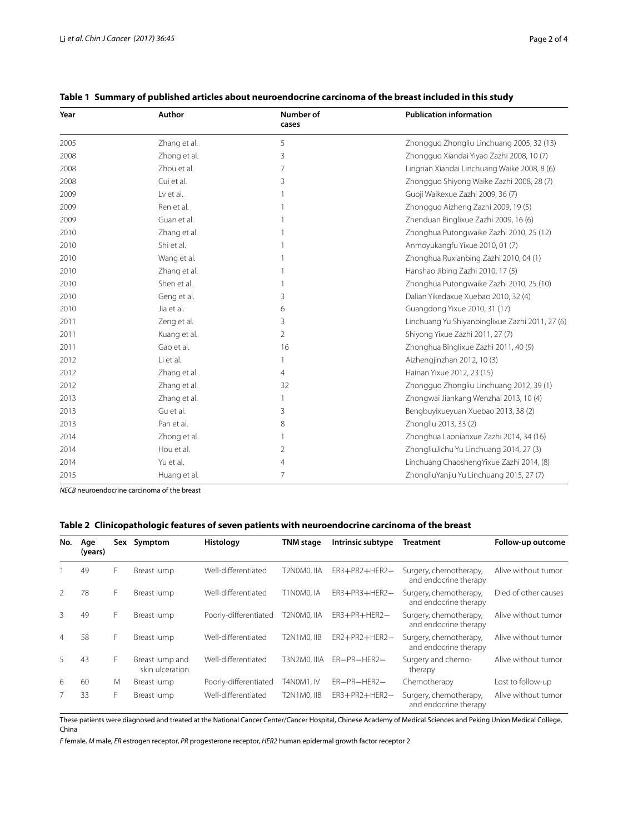| Year | Author       | Number of<br>cases | <b>Publication information</b>                  |
|------|--------------|--------------------|-------------------------------------------------|
| 2005 | Zhang et al. | 5                  | Zhongguo Zhongliu Linchuang 2005, 32 (13)       |
| 2008 | Zhong et al. | 3                  | Zhongguo Xiandai Yiyao Zazhi 2008, 10 (7)       |
| 2008 | Zhou et al.  | 7                  | Lingnan Xiandai Linchuang Waike 2008, 8 (6)     |
| 2008 | Cui et al.   | 3                  | Zhongguo Shiyong Waike Zazhi 2008, 28 (7)       |
| 2009 | Lv et al.    |                    | Guoji Waikexue Zazhi 2009, 36 (7)               |
| 2009 | Ren et al.   |                    | Zhongguo Aizheng Zazhi 2009, 19 (5)             |
| 2009 | Guan et al.  |                    | Zhenduan Binglixue Zazhi 2009, 16 (6)           |
| 2010 | Zhang et al. |                    | Zhonghua Putongwaike Zazhi 2010, 25 (12)        |
| 2010 | Shi et al.   |                    | Anmoyukangfu Yixue 2010, 01 (7)                 |
| 2010 | Wang et al.  |                    | Zhonghua Ruxianbing Zazhi 2010, 04 (1)          |
| 2010 | Zhang et al. |                    | Hanshao Jibing Zazhi 2010, 17 (5)               |
| 2010 | Shen et al.  |                    | Zhonghua Putongwaike Zazhi 2010, 25 (10)        |
| 2010 | Geng et al.  | 3                  | Dalian Yikedaxue Xuebao 2010, 32 (4)            |
| 2010 | Jia et al.   | 6                  | Guangdong Yixue 2010, 31 (17)                   |
| 2011 | Zeng et al.  | 3                  | Linchuang Yu Shiyanbinglixue Zazhi 2011, 27 (6) |
| 2011 | Kuang et al. | 2                  | Shiyong Yixue Zazhi 2011, 27 (7)                |
| 2011 | Gao et al.   | 16                 | Zhonghua Binglixue Zazhi 2011, 40 (9)           |
| 2012 | Li et al.    |                    | Aizhengjinzhan 2012, 10 (3)                     |
| 2012 | Zhang et al. | 4                  | Hainan Yixue 2012, 23 (15)                      |
| 2012 | Zhang et al. | 32                 | Zhongguo Zhongliu Linchuang 2012, 39 (1)        |
| 2013 | Zhang et al. |                    | Zhongwai Jiankang Wenzhai 2013, 10 (4)          |
| 2013 | Gu et al.    | 3                  | Bengbuyixueyuan Xuebao 2013, 38 (2)             |
| 2013 | Pan et al.   | 8                  | Zhongliu 2013, 33 (2)                           |
| 2014 | Zhong et al. |                    | Zhonghua Laonianxue Zazhi 2014, 34 (16)         |
| 2014 | Hou et al.   | 2                  | ZhongliuJichu Yu Linchuang 2014, 27 (3)         |
| 2014 | Yu et al.    | 4                  | Linchuang ChaoshengYixue Zazhi 2014, (8)        |
| 2015 | Huang et al. | 7                  | ZhongliuYanjiu Yu Linchuang 2015, 27 (7)        |

## <span id="page-1-0"></span>**Table 1 Summary of published articles about neuroendocrine carcinoma of the breast included in this study**

*NECB* neuroendocrine carcinoma of the breast

## <span id="page-1-1"></span>**Table 2 Clinicopathologic features of seven patients with neuroendocrine carcinoma of the breast**

| No.            | Age<br>(years) | Sex | Symptom                            | <b>Histology</b>      | <b>TNM</b> stage   | Intrinsic subtype    | <b>Treatment</b>                                | Follow-up outcome    |
|----------------|----------------|-----|------------------------------------|-----------------------|--------------------|----------------------|-------------------------------------------------|----------------------|
|                | 49             | F   | Breast lump                        | Well-differentiated   | T2N0M0. IIA        | $ER3 + PR2 + HER2 -$ | Surgery, chemotherapy,<br>and endocrine therapy | Alive without tumor  |
| 2              | 78             | F   | Breast lump                        | Well-differentiated   | T1N0M0.IA          | $ER3 + PR3 + HER2 -$ | Surgery, chemotherapy,<br>and endocrine therapy | Died of other causes |
| 3              | 49             | F   | Breast lump                        | Poorly-differentiated | T2N0M0. IIA        | $ER3 + PR + HER2 -$  | Surgery, chemotherapy,<br>and endocrine therapy | Alive without tumor  |
| $\overline{4}$ | 58             | F   | Breast lump                        | Well-differentiated   | <b>T2N1M0. IIB</b> | $ER2 + PR2 + HER2 -$ | Surgery, chemotherapy,<br>and endocrine therapy | Alive without tumor  |
| 5              | 43             | F   | Breast lump and<br>skin ulceration | Well-differentiated   | T3N2M0. IIIA       | $ER-PR-HER2-$        | Surgery and chemo-<br>therapy                   | Alive without tumor  |
| 6              | 60             | M   | Breast lump                        | Poorly-differentiated | T4NOM1. IV         | $ER-PR-HER2-$        | Chemotherapy                                    | Lost to follow-up    |
|                | 33             | F   | Breast lump                        | Well-differentiated   | T2N1M0.IIB         | $ER3 + PR2 + HER2 -$ | Surgery, chemotherapy,<br>and endocrine therapy | Alive without tumor  |

These patients were diagnosed and treated at the National Cancer Center/Cancer Hospital, Chinese Academy of Medical Sciences and Peking Union Medical College, China

*F* female, *M* male, *ER* estrogen receptor, *PR* progesterone receptor, *HER2* human epidermal growth factor receptor 2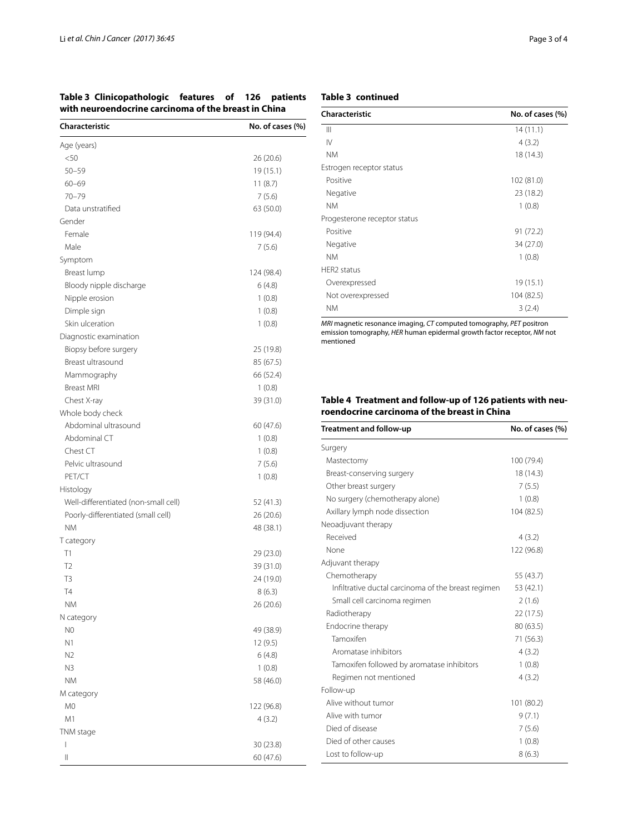<span id="page-2-0"></span>**Table 3 Clinicopathologic features of 126 patients with neuroendocrine carcinoma of the breast in China**

| Characteristic                       | No. of cases (%) |
|--------------------------------------|------------------|
| Age (years)                          |                  |
| $50$                                 | 26 (20.6)        |
| $50 - 59$                            | 19 (15.1)        |
| $60 - 69$                            | 11(8.7)          |
| $70 - 79$                            | 7(5.6)           |
| Data unstratified                    | 63 (50.0)        |
| Gender                               |                  |
| Female                               | 119 (94.4)       |
| Male                                 | 7(5.6)           |
| Symptom                              |                  |
| Breast lump                          | 124 (98.4)       |
| Bloody nipple discharge              | 6 (4.8)          |
| Nipple erosion                       | 1(0.8)           |
| Dimple sign                          | 1(0.8)           |
| Skin ulceration                      | 1(0.8)           |
| Diagnostic examination               |                  |
| Biopsy before surgery                | 25 (19.8)        |
| Breast ultrasound                    | 85 (67.5)        |
| Mammography                          | 66 (52.4)        |
| <b>Breast MRI</b>                    | 1(0.8)           |
| Chest X-ray                          | 39 (31.0)        |
| Whole body check                     |                  |
| Abdominal ultrasound                 | 60 (47.6)        |
| Abdominal CT                         | 1(0.8)           |
| Chest CT                             | 1(0.8)           |
| Pelvic ultrasound                    | 7(5.6)           |
| PET/CT                               | 1(0.8)           |
| Histology                            |                  |
| Well-differentiated (non-small cell) | 52 (41.3)        |
| Poorly-differentiated (small cell)   | 26 (20.6)        |
| <b>NM</b>                            | 48 (38.1)        |
| T category                           |                  |
| T1                                   | 29 (23.0)        |
| T <sub>2</sub>                       | 39 (31.0)        |
| T <sub>3</sub>                       | 24 (19.0)        |
| $\mathsf{T}4$                        | 8(6.3)           |
| ΝM                                   | 26 (20.6)        |
| N category                           |                  |
| N0                                   | 49 (38.9)        |
| N1                                   | 12 (9.5)         |
| N2                                   | 6(4.8)           |
| N3                                   | 1(0.8)           |
| ΝM                                   | 58 (46.0)        |
| M category                           |                  |
| M0                                   | 122 (96.8)       |
| M1                                   | 4 (3.2)          |
| TNM stage                            |                  |
| I                                    | 30 (23.8)        |
| 11                                   | 60 (47.6)        |

| Characteristic               | No. of cases (%) |
|------------------------------|------------------|
| Ш                            | 14(11.1)         |
| $\mathsf{IV}$                | 4(3.2)           |
| <b>NM</b>                    | 18 (14.3)        |
| Estrogen receptor status     |                  |
| Positive                     | 102 (81.0)       |
| Negative                     | 23 (18.2)        |
| <b>NM</b>                    | 1(0.8)           |
| Progesterone receptor status |                  |
| Positive                     | 91 (72.2)        |
| Negative                     | 34 (27.0)        |
| <b>NM</b>                    | 1(0.8)           |
| HER2 status                  |                  |
| Overexpressed                | 19 (15.1)        |
| Not overexpressed            | 104 (82.5)       |
| <b>NM</b>                    | 3(2.4)           |

*MRI* magnetic resonance imaging, *CT* computed tomography, *PET* positron emission tomography, *HER* human epidermal growth factor receptor, *NM* not mentioned

## <span id="page-2-1"></span>**Table 4 Treatment and follow-up of 126 patients with neuroendocrine carcinoma of the breast in China**

| Treatment and follow-up                             | No. of cases (%) |
|-----------------------------------------------------|------------------|
| Surgery                                             |                  |
| Mastectomy                                          | 100 (79.4)       |
| Breast-conserving surgery                           | 18 (14.3)        |
| Other breast surgery                                | 7(5.5)           |
| No surgery (chemotherapy alone)                     | 1(0.8)           |
| Axillary lymph node dissection                      | 104 (82.5)       |
| Neoadjuvant therapy                                 |                  |
| Received                                            | 4(3.2)           |
| None                                                | 122 (96.8)       |
| Adjuvant therapy                                    |                  |
| Chemotherapy                                        | 55 (43.7)        |
| Infiltrative ductal carcinoma of the breast regimen | 53 (42.1)        |
| Small cell carcinoma regimen                        | 2(1.6)           |
| Radiotherapy                                        | 22 (17.5)        |
| Endocrine therapy                                   | 80 (63.5)        |
| Tamoxifen                                           | 71 (56.3)        |
| Aromatase inhibitors                                | 4(3.2)           |
| Tamoxifen followed by aromatase inhibitors          | 1(0.8)           |
| Regimen not mentioned                               | 4(3.2)           |
| Follow-up                                           |                  |
| Alive without tumor                                 | 101 (80.2)       |
| Alive with tumor                                    | 9(7.1)           |
| Died of disease                                     | 7(5.6)           |
| Died of other causes                                | 1(0.8)           |
| Lost to follow-up                                   | 8(6.3)           |